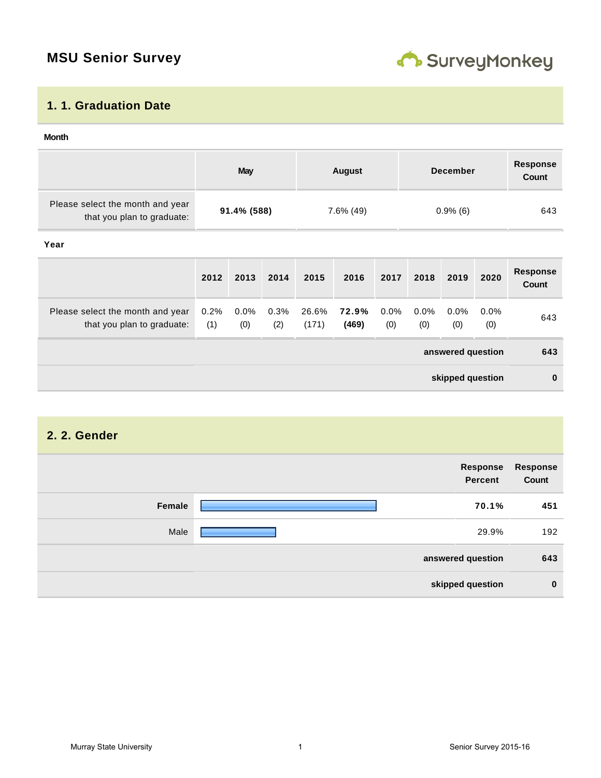## **MSU Senior Survey**



#### **1. 1. Graduation Date**

#### **answered question 643 skipped question 0 Month May August December Response Count** Please select the month and year that you plan to graduate: **91.4% (588)** 7.6% (49) 0.9% (6) 643 **Year 2012 2013 2014 2015 2016 2017 2018 2019 2020 Response Count** Please select the month and year that you plan to graduate: 0.2% (1) 0.0% (0) 0.3% (2) 26.6% (171) **72.9% (469)** 0.0% (0) 0.0% (0) 0.0% (0) 0.0% (0) 643

## **2. 2. Gender answered question 643 skipped question 0 Response Percent Response Count Female 70.1% 451** Male <u>29.9% 192.</u>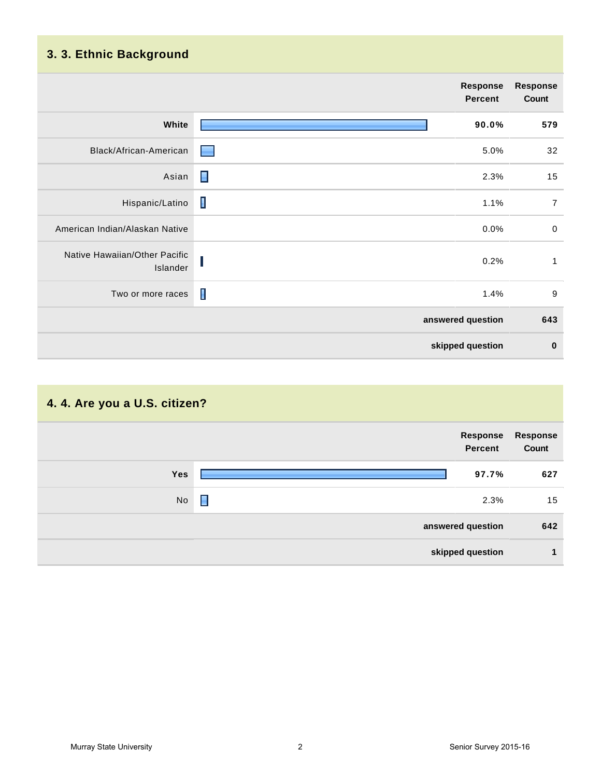## **3. 3. Ethnic Background**

|                                           | <b>Response</b><br>Percent | <b>Response</b><br>Count |
|-------------------------------------------|----------------------------|--------------------------|
| White                                     | 90.0%                      | 579                      |
| Black/African-American                    | 5.0%<br><b>STEP</b>        | 32                       |
| Asian                                     | П<br>2.3%                  | 15                       |
| Hispanic/Latino                           | $\blacksquare$<br>1.1%     | $\overline{7}$           |
| American Indian/Alaskan Native            | 0.0%                       | $\mathbf 0$              |
| Native Hawaiian/Other Pacific<br>Islander | 0.2%<br>ш                  | 1                        |
| Two or more races                         | $\blacksquare$<br>1.4%     | $9\,$                    |
|                                           | answered question          | 643                      |
|                                           | skipped question           | $\bf{0}$                 |

## **4. 4. Are you a U.S. citizen?**

| Response<br>Count | Response<br><b>Percent</b> |            |
|-------------------|----------------------------|------------|
| 627               | 97.7%                      | <b>Yes</b> |
| 15                | П<br>2.3%                  | No         |
| 642               | answered question          |            |
|                   | skipped question           |            |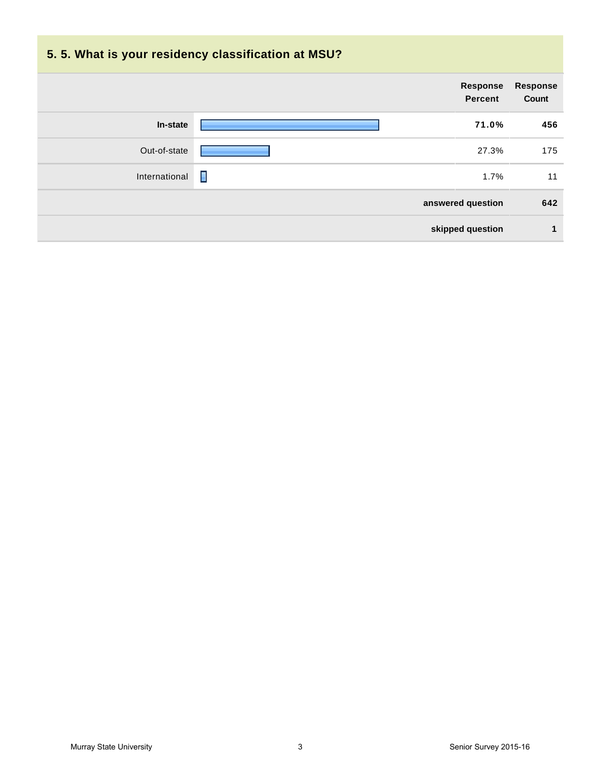| 5.5. What is your residency classification at MSU? |                            |                                 |
|----------------------------------------------------|----------------------------|---------------------------------|
|                                                    | Response<br><b>Percent</b> | <b>Response</b><br><b>Count</b> |
| In-state                                           | 71.0%                      | 456                             |
| Out-of-state                                       | 27.3%                      | 175                             |
| International                                      | П<br>1.7%                  | 11                              |
|                                                    | answered question          | 642                             |
|                                                    | skipped question           | 1                               |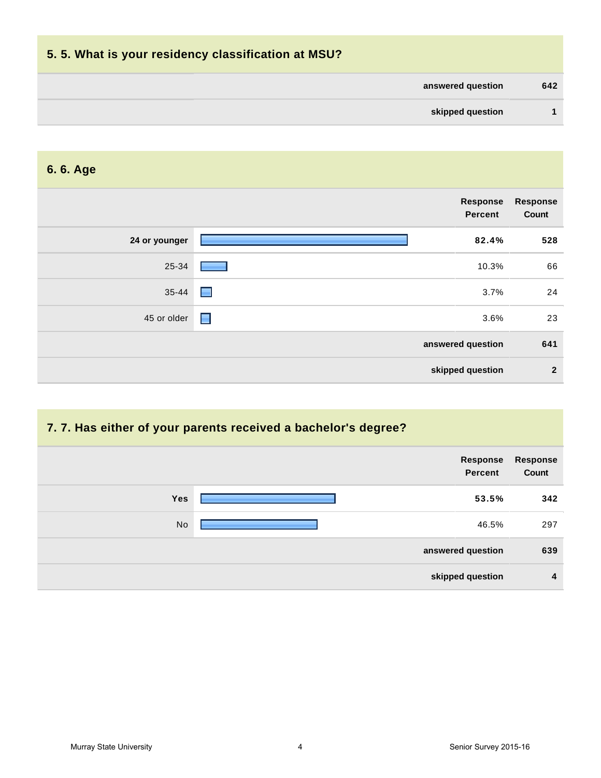| 5.5. What is your residency classification at MSU? |     |
|----------------------------------------------------|-----|
| answered question                                  | 642 |
| skipped question                                   |     |
|                                                    |     |

## **6. 6. Age**

| <b>Response</b><br>Count | <b>Response</b><br><b>Percent</b> |               |
|--------------------------|-----------------------------------|---------------|
| 528                      | 82.4%                             | 24 or younger |
| 66                       | 10.3%                             | 25-34         |
| 24                       | $\blacksquare$<br>3.7%            | $35 - 44$     |
| 23                       | $\blacksquare$<br>3.6%            | 45 or older   |
| 641                      | answered question                 |               |
| $\overline{2}$           | skipped question                  |               |

## **7. 7. Has either of your parents received a bachelor's degree?**

| <b>Response</b><br>Count | Response<br><b>Percent</b> |            |
|--------------------------|----------------------------|------------|
| 342                      | 53.5%                      | <b>Yes</b> |
| 297                      | 46.5%                      | No         |
| 639                      | answered question          |            |
| 4                        | skipped question           |            |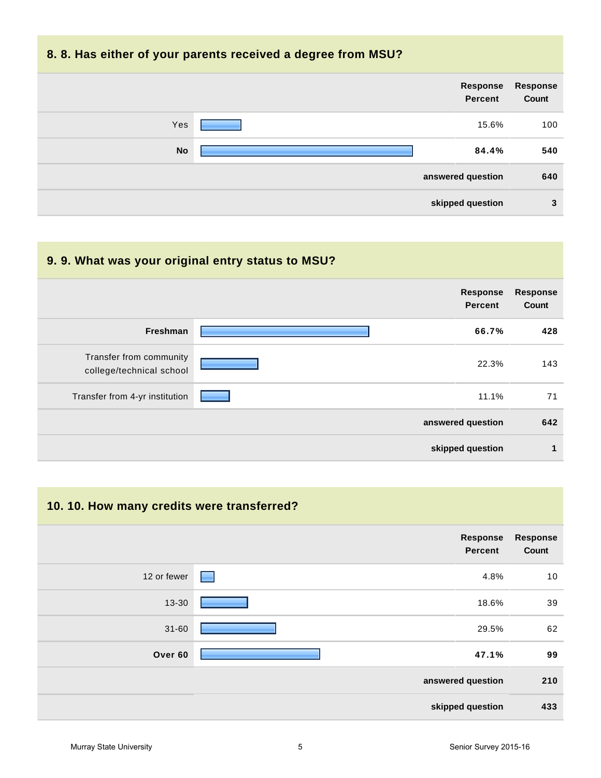#### **8. 8. Has either of your parents received a degree from MSU?**



| 9.9. What was your original entry status to MSU?    |                                   |                          |
|-----------------------------------------------------|-----------------------------------|--------------------------|
|                                                     | <b>Response</b><br><b>Percent</b> | <b>Response</b><br>Count |
| <b>Freshman</b>                                     | 66.7%                             | 428                      |
| Transfer from community<br>college/technical school | 22.3%                             | 143                      |
| Transfer from 4-yr institution                      | 11.1%                             | 71                       |
|                                                     | answered question                 | 642                      |
|                                                     | skipped question                  | 1                        |

## **10. 10. How many credits were transferred? answered question 210 skipped question 433 Response Percent Response Count** 12 or fewer **10 or fewer 10 or fewer 10** or fewer 10 or fewer 10 or fewer 10 or fewer 10 or fewer 10 or fewer 10 13-30 18.6% 39 31-60 29.5% 62 **Over 60 47.1% 99**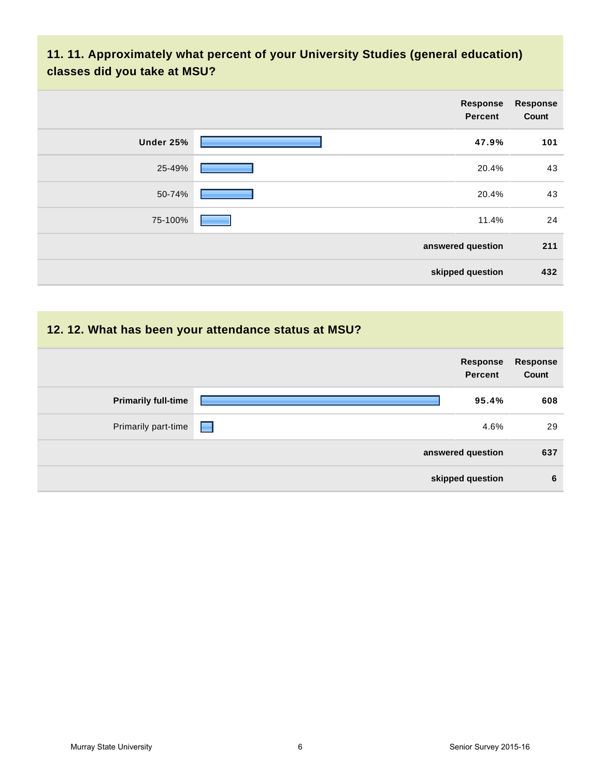## **11. 11. Approximately what percent of your University Studies (general education) classes did you take at MSU?**

|           | Response<br><b>Percent</b> | <b>Response</b><br>Count |
|-----------|----------------------------|--------------------------|
| Under 25% | 47.9%                      | 101                      |
| 25-49%    | 20.4%                      | 43                       |
| 50-74%    | 20.4%                      | 43                       |
| 75-100%   | 11.4%                      | 24                       |
|           | answered question          | 211                      |
|           | skipped question           | 432                      |

### **12. 12. What has been your attendance status at MSU?**

|                            | Response<br>Percent | Response<br>Count |
|----------------------------|---------------------|-------------------|
| <b>Primarily full-time</b> | 95.4%               | 608               |
| Primarily part-time        | 4.6%<br>E           | 29                |
|                            | answered question   | 637               |
|                            | skipped question    | 6                 |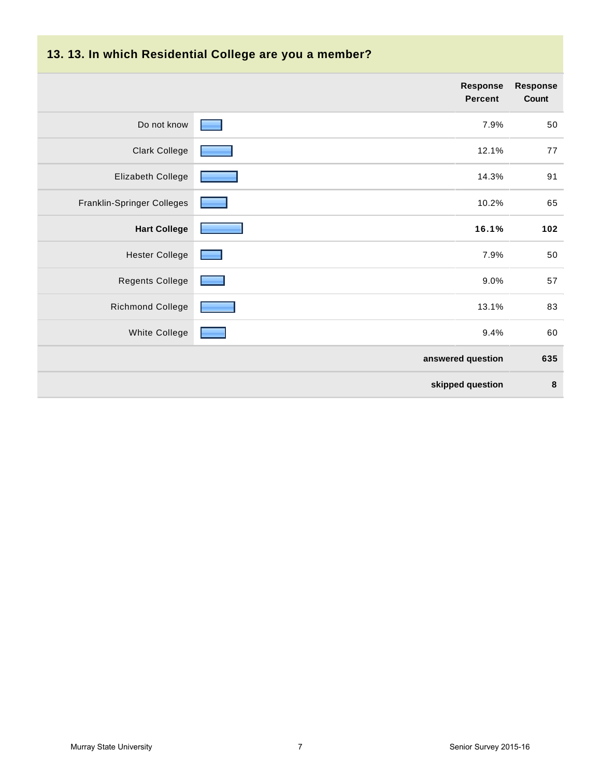| 13. 13. In which Residential College are you a member? |                                   |                   |
|--------------------------------------------------------|-----------------------------------|-------------------|
|                                                        | <b>Response</b><br><b>Percent</b> | Response<br>Count |
| Do not know                                            | 7.9%                              | 50                |
| <b>Clark College</b>                                   | 12.1%                             | 77                |
| Elizabeth College                                      | 14.3%                             | 91                |
| Franklin-Springer Colleges                             | 10.2%                             | 65                |
| <b>Hart College</b>                                    | 16.1%                             | 102               |
| <b>Hester College</b>                                  | 7.9%                              | 50                |
| <b>Regents College</b>                                 | 9.0%                              | 57                |
| <b>Richmond College</b>                                | 13.1%                             | 83                |
| <b>White College</b>                                   | 9.4%                              | 60                |
|                                                        | answered question                 | 635               |
|                                                        | skipped question                  | $\bf8$            |

#### **13. 13. In which Residential College are you a member?**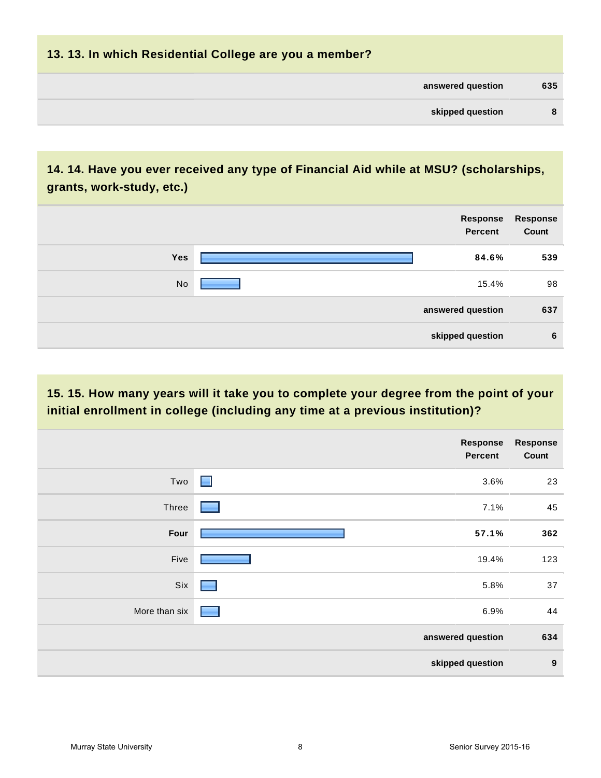| 13. 13. In which Residential College are you a member? |     |
|--------------------------------------------------------|-----|
| answered question                                      | 635 |
| skipped question                                       | -8  |
|                                                        |     |

## **14. 14. Have you ever received any type of Financial Aid while at MSU? (scholarships, grants, work-study, etc.)**

|     | Response<br><b>Percent</b> | Response<br>Count |
|-----|----------------------------|-------------------|
| Yes | 84.6%                      | 539               |
| No  | 15.4%                      | 98                |
|     | answered question          | 637               |
|     | skipped question           | 6                 |

## **15. 15. How many years will it take you to complete your degree from the point of your initial enrollment in college (including any time at a previous institution)?**

|               | <b>Response</b><br>Percent                | Response<br>Count |
|---------------|-------------------------------------------|-------------------|
| Two           | $\blacksquare$<br>3.6%                    | 23                |
| Three         | 7.1%                                      | 45                |
| Four          | 57.1%                                     | 362               |
| Five          | 19.4%                                     | 123               |
| Six           | 5.8%<br>e e                               | 37                |
| More than six | 6.9%<br><b>Contract Contract Contract</b> | 44                |
|               | answered question                         | 634               |
|               | skipped question                          | $\boldsymbol{9}$  |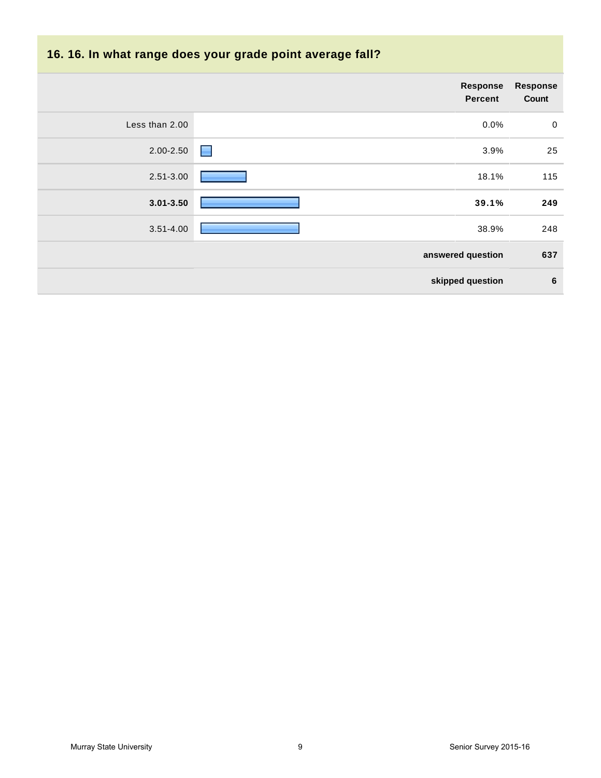| 16. 16. In what range does your grade point average fall? |                                   |                          |  |
|-----------------------------------------------------------|-----------------------------------|--------------------------|--|
|                                                           | <b>Response</b><br><b>Percent</b> | <b>Response</b><br>Count |  |
| Less than 2.00                                            | 0.0%                              | $\mathbf 0$              |  |
| 2.00-2.50                                                 | 3.9%<br>ш                         | 25                       |  |
| 2.51-3.00                                                 | 18.1%                             | 115                      |  |
| $3.01 - 3.50$                                             | 39.1%                             | 249                      |  |
| $3.51 - 4.00$                                             | 38.9%                             | 248                      |  |
|                                                           | answered question                 | 637                      |  |
|                                                           | skipped question                  | 6                        |  |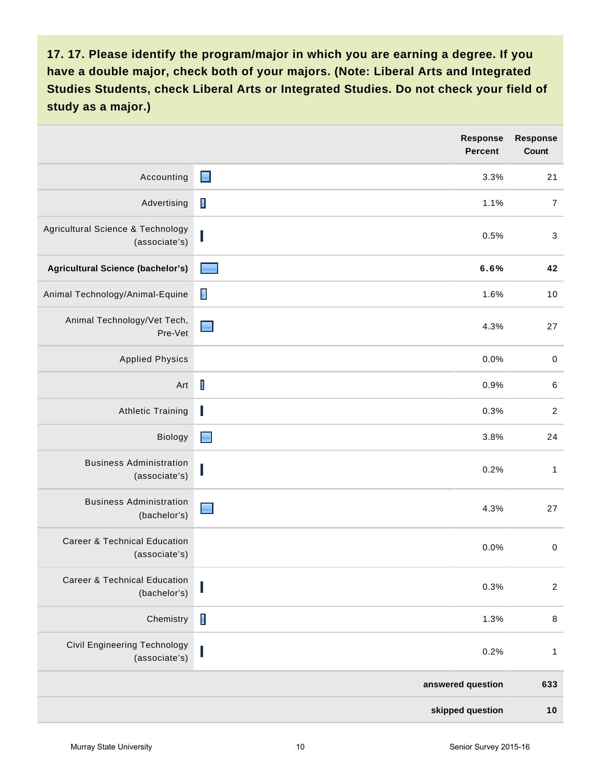|                                                          | <b>Response</b><br><b>Percent</b> | Response<br><b>Count</b>  |
|----------------------------------------------------------|-----------------------------------|---------------------------|
| Accounting                                               | $\blacksquare$<br>3.3%            | 21                        |
| Advertising                                              | $\blacksquare$<br>1.1%            | $\overline{7}$            |
| Agricultural Science & Technology<br>(associate's)       | 0.5%<br>U                         | $\ensuremath{\mathsf{3}}$ |
| Agricultural Science (bachelor's)                        | 6.6%                              | 42                        |
| Animal Technology/Animal-Equine                          | П<br>1.6%                         | 10                        |
| Animal Technology/Vet Tech,<br>Pre-Vet                   | 4.3%                              | 27                        |
| <b>Applied Physics</b>                                   | 0.0%                              | $\,0\,$                   |
| Art                                                      | $\mathbf I$<br>0.9%               | $\,6\,$                   |
| <b>Athletic Training</b>                                 | ı<br>0.3%                         | $\sqrt{2}$                |
| Biology                                                  | $\blacksquare$<br>3.8%            | 24                        |
| <b>Business Administration</b><br>(associate's)          | 0.2%                              | $\mathbf{1}$              |
| <b>Business Administration</b><br>(bachelor's)           | 4.3%                              | 27                        |
| <b>Career &amp; Technical Education</b><br>(associate's) | 0.0%                              | $\pmb{0}$                 |
| Career & Technical Education<br>(bachelor's)             | 0.3%                              | $\overline{c}$            |
| Chemistry                                                | $\blacksquare$<br>1.3%            | $\, 8$                    |
| <b>Civil Engineering Technology</b><br>(associate's)     | 0.2%                              | $\mathbf{1}$              |
|                                                          | answered question                 | 633                       |
|                                                          | skipped question                  | 10                        |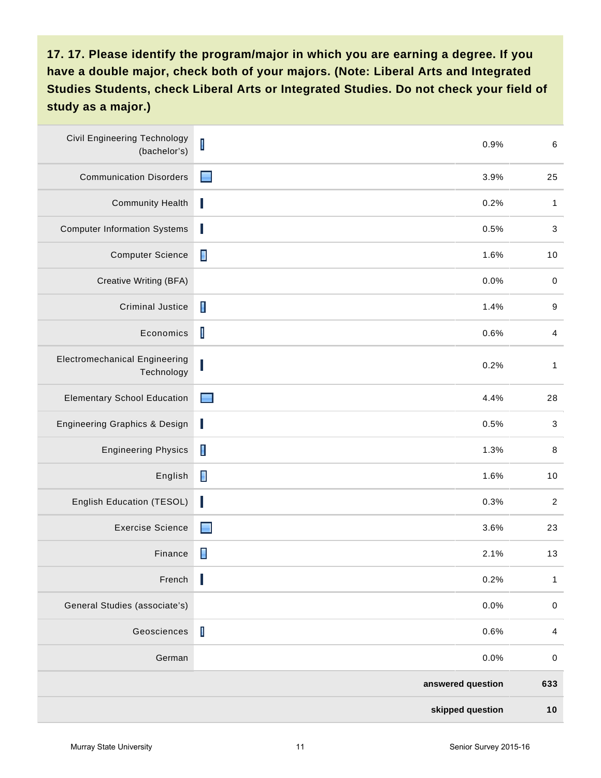| <b>Civil Engineering Technology</b><br>(bachelor's) | $\mathsf I$    | 0.9%              | $\,6\,$                  |
|-----------------------------------------------------|----------------|-------------------|--------------------------|
| <b>Communication Disorders</b>                      | ■              | 3.9%              | 25                       |
| <b>Community Health</b>                             | I              | 0.2%              | $\mathbf{1}$             |
| <b>Computer Information Systems</b>                 | L              | 0.5%              | 3                        |
| <b>Computer Science</b>                             | $\blacksquare$ | 1.6%              | 10                       |
| Creative Writing (BFA)                              |                | 0.0%              | $\,0\,$                  |
| <b>Criminal Justice</b>                             | $\blacksquare$ | 1.4%              | $9\,$                    |
| Economics                                           | $\mathbf I$    | 0.6%              | $\overline{4}$           |
| <b>Electromechanical Engineering</b><br>Technology  |                | 0.2%              | $\mathbf{1}$             |
| <b>Elementary School Education</b>                  | ▀              | 4.4%              | 28                       |
| <b>Engineering Graphics &amp; Design</b>            | I              | 0.5%              | $\mathbf{3}$             |
| <b>Engineering Physics</b>                          | П              | 1.3%              | $\, 8$                   |
| English                                             | П              | 1.6%              | 10                       |
| English Education (TESOL)                           | ı              | 0.3%              | $\overline{2}$           |
| <b>Exercise Science</b>                             | Н              | 3.6%              | 23                       |
| Finance                                             | $\blacksquare$ | 2.1%              | 13                       |
| French                                              | Ι              | 0.2%              | $\mathbf{1}$             |
| General Studies (associate's)                       |                | 0.0%              | $\pmb{0}$                |
| Geosciences                                         | $\mathsf I$    | 0.6%              | $\overline{\mathcal{A}}$ |
| German                                              |                | 0.0%              | $\pmb{0}$                |
|                                                     |                | answered question | 633                      |
|                                                     |                | skipped question  | 10                       |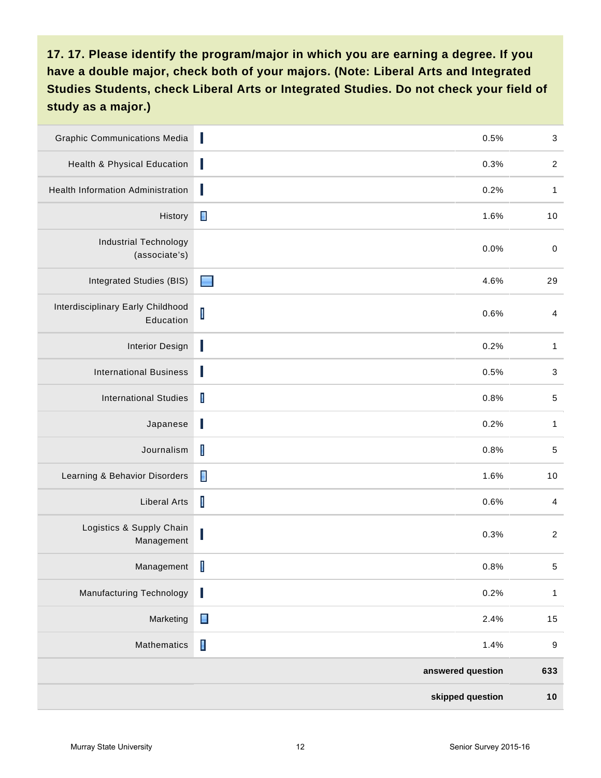| <b>Graphic Communications Media</b>            | ı              | 0.5%              | $\ensuremath{\mathsf{3}}$ |
|------------------------------------------------|----------------|-------------------|---------------------------|
| Health & Physical Education                    | L              | 0.3%              | $\overline{2}$            |
| Health Information Administration              | J              | 0.2%              | $\mathbf{1}$              |
| History                                        | $\blacksquare$ | 1.6%              | 10                        |
| <b>Industrial Technology</b><br>(associate's)  |                | 0.0%              | $\boldsymbol{0}$          |
| <b>Integrated Studies (BIS)</b>                | Е              | 4.6%              | 29                        |
| Interdisciplinary Early Childhood<br>Education | $\mathsf I$    | 0.6%              | $\overline{\mathcal{A}}$  |
| <b>Interior Design</b>                         | J              | 0.2%              | $\mathbf{1}$              |
| <b>International Business</b>                  | L              | 0.5%              | $\ensuremath{\mathsf{3}}$ |
| <b>International Studies</b>                   | $\mathbf{I}$   | 0.8%              | $\mathbf 5$               |
| Japanese                                       | I              | 0.2%              | $\mathbf{1}$              |
| Journalism                                     | $\mathsf I$    | 0.8%              | $\mathbf 5$               |
| Learning & Behavior Disorders                  | $\blacksquare$ | 1.6%              | 10                        |
| <b>Liberal Arts</b>                            | $\mathsf I$    | 0.6%              | $\overline{4}$            |
| Logistics & Supply Chain<br>Management         |                | 0.3%              | $\overline{c}$            |
| Management                                     | $\mathsf I$    | 0.8%              | $\sqrt{5}$                |
| <b>Manufacturing Technology</b>                | I              | 0.2%              | $\mathbf{1}$              |
| Marketing                                      | $\blacksquare$ | 2.4%              | 15                        |
| Mathematics                                    | $\blacksquare$ | 1.4%              | $\boldsymbol{9}$          |
|                                                |                | answered question | 633                       |
|                                                |                | skipped question  | 10                        |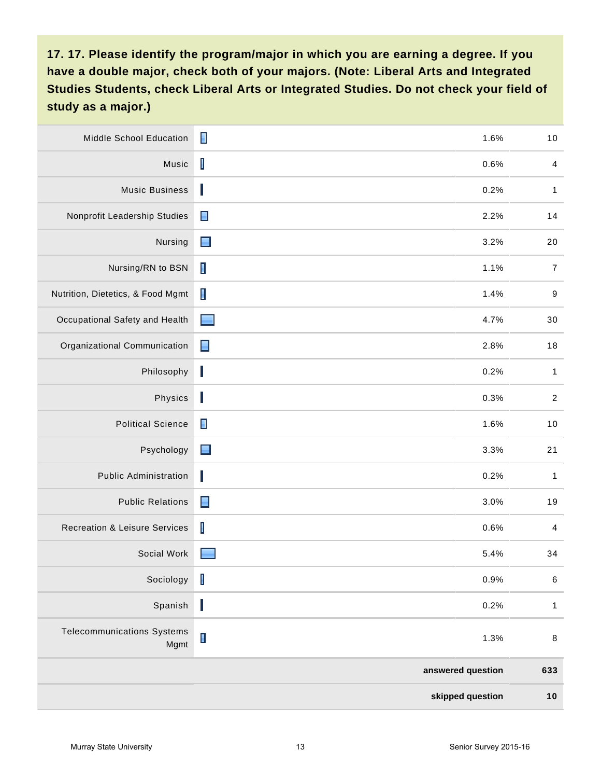| Middle School Education                   | П<br>1.6%                        | $10$             |
|-------------------------------------------|----------------------------------|------------------|
| Music                                     | $\mathsf I$<br>0.6%              | $\overline{4}$   |
| <b>Music Business</b>                     | L<br>0.2%                        | $\mathbf{1}$     |
| Nonprofit Leadership Studies              | $\blacksquare$<br>2.2%           | 14               |
| Nursing                                   | $\blacksquare$<br>3.2%           | 20               |
| Nursing/RN to BSN                         | $\blacksquare$<br>1.1%           | $\boldsymbol{7}$ |
| Nutrition, Dietetics, & Food Mgmt         | $\blacksquare$<br>1.4%           | $9\,$            |
| Occupational Safety and Health            | 4.7%<br><b>Single Service</b>    | 30               |
| Organizational Communication              | $\blacksquare$<br>2.8%           | 18               |
| Philosophy                                | $\overline{\phantom{a}}$<br>0.2% | $\mathbf{1}$     |
| Physics                                   | J<br>0.3%                        | $\sqrt{2}$       |
| <b>Political Science</b>                  | $\blacksquare$<br>1.6%           | 10               |
| Psychology                                | $\blacksquare$<br>3.3%           | 21               |
| <b>Public Administration</b>              | I<br>0.2%                        | $\mathbf{1}$     |
| <b>Public Relations</b>                   | $\blacksquare$<br>3.0%           | 19               |
| <b>Recreation &amp; Leisure Services</b>  | $\overline{\phantom{a}}$<br>0.6% | $\overline{4}$   |
| Social Work                               | 5.4%                             | 34               |
| Sociology                                 | $\mathbf I$<br>0.9%              | $\,6\,$          |
| Spanish                                   | J<br>0.2%                        | $\mathbf{1}$     |
| <b>Telecommunications Systems</b><br>Mgmt | $\blacksquare$<br>1.3%           | $\,8\,$          |
|                                           | answered question                | 633              |
|                                           | skipped question                 | $10$             |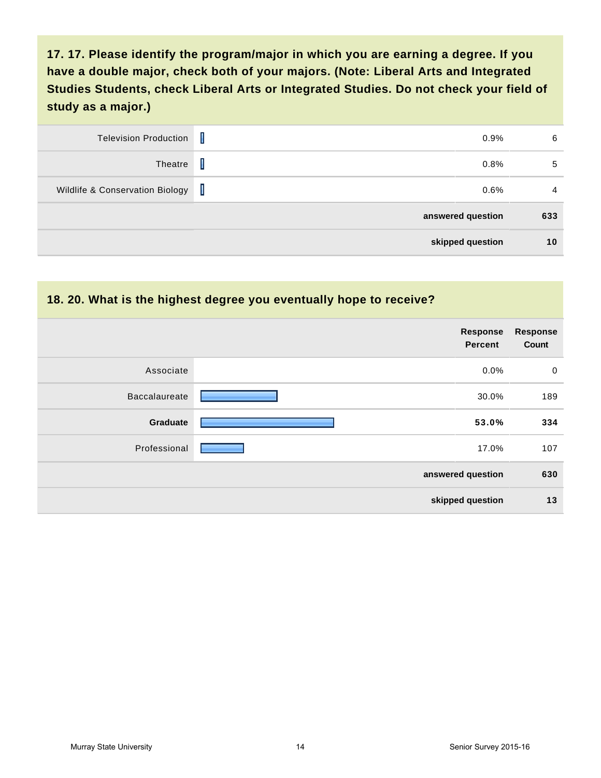| <b>Television Production</b>    | Ι            | 0.9%              | 6   |
|---------------------------------|--------------|-------------------|-----|
| Theatre                         | Ι            | 0.8%              | 5   |
| Wildlife & Conservation Biology | $\mathbf{I}$ | 0.6%              | 4   |
|                                 |              | answered question | 633 |
|                                 |              | skipped question  | 10  |

| 18. 20. What is the highest degree you eventually hope to receive? |                                   |                          |  |
|--------------------------------------------------------------------|-----------------------------------|--------------------------|--|
|                                                                    | <b>Response</b><br><b>Percent</b> | <b>Response</b><br>Count |  |
| Associate                                                          | $0.0\%$                           | $\mathbf 0$              |  |
| <b>Baccalaureate</b>                                               | 30.0%                             | 189                      |  |
| Graduate                                                           | 53.0%                             | 334                      |  |
| Professional                                                       | 17.0%                             | 107                      |  |
|                                                                    | answered question                 | 630                      |  |
|                                                                    | skipped question                  | 13                       |  |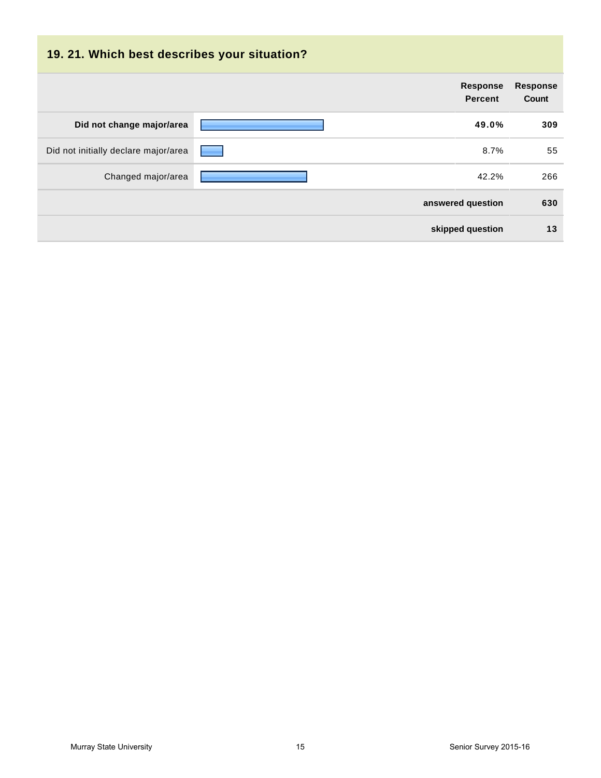| 19. 21. Which best describes your situation? |                                   |                                 |
|----------------------------------------------|-----------------------------------|---------------------------------|
|                                              | <b>Response</b><br><b>Percent</b> | <b>Response</b><br><b>Count</b> |
| Did not change major/area                    | 49.0%                             | 309                             |
| Did not initially declare major/area         | 8.7%                              | 55                              |
| Changed major/area                           | 42.2%                             | 266                             |
|                                              | answered question                 | 630                             |
|                                              | skipped question                  | 13                              |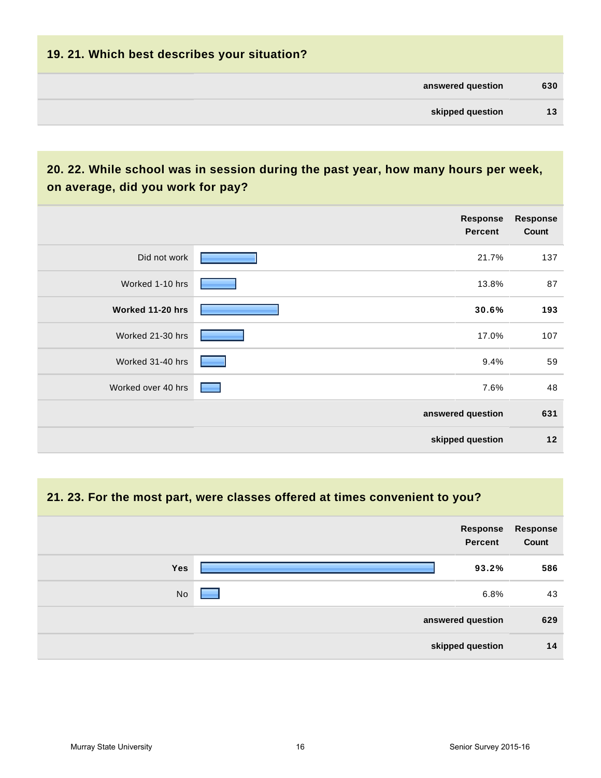| 19. 21. Which best describes your situation? |     |
|----------------------------------------------|-----|
| answered question                            | 630 |
| skipped question                             | 13  |
|                                              |     |

## **20. 22. While school was in session during the past year, how many hours per week, on average, did you work for pay?**

|                    | Response<br><b>Percent</b> | <b>Response</b><br>Count |
|--------------------|----------------------------|--------------------------|
| Did not work       | 21.7%                      | 137                      |
| Worked 1-10 hrs    | 13.8%                      | 87                       |
| Worked 11-20 hrs   | 30.6%                      | 193                      |
| Worked 21-30 hrs   | 17.0%                      | 107                      |
| Worked 31-40 hrs   | 9.4%                       | 59                       |
| Worked over 40 hrs | 7.6%                       | 48                       |
|                    | answered question          | 631                      |
|                    | skipped question           | $12$                     |

#### **21. 23. For the most part, were classes offered at times convenient to you?**

|            | Response<br>Percent | Response<br>Count |
|------------|---------------------|-------------------|
| <b>Yes</b> | 93.2%               | 586               |
| No         | 6.8%<br>۰           | 43                |
|            | answered question   | 629               |
|            | skipped question    | 14                |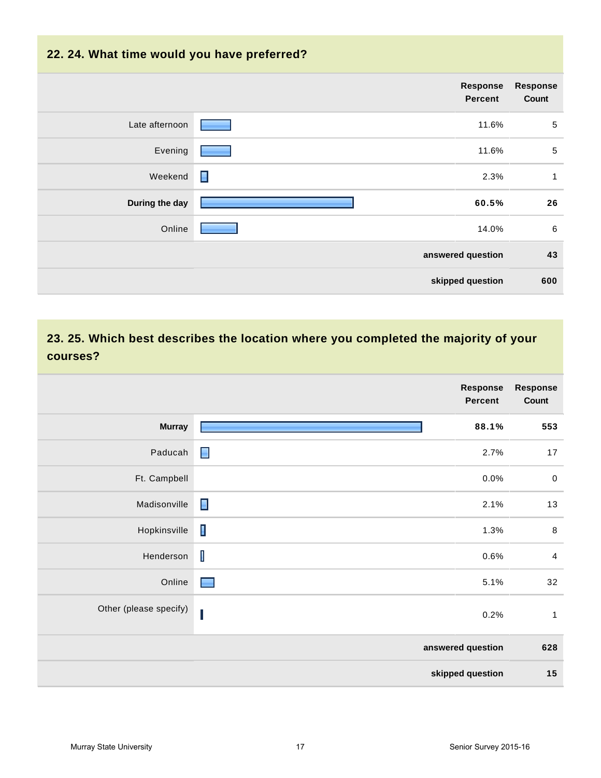# **22. 24. What time would you have preferred? answered question 43 skipped question 600 Response Percent Response Count** Late afternoon **11.6%** 5 Evening 11.6% 5 Weekend  $\Box$  . The contract of the contract of the contract of the contract of the contract of the contract of the contract of the contract of the contract of the contract of the contract of the contract of the contract o **During the day 60.5% 26** Online 2006 - 2007 - 2008 - 2010 - 2010 - 2010 - 2010 - 2010 - 2010 - 2010 - 2010 - 2010 - 2010 - 2010 - 2010 -

## **23. 25. Which best describes the location where you completed the majority of your courses?**

|                        | <b>Response</b><br><b>Percent</b> | <b>Response</b><br>Count |
|------------------------|-----------------------------------|--------------------------|
| <b>Murray</b>          | 88.1%                             | 553                      |
| Paducah                | $\blacksquare$<br>2.7%            | 17                       |
| Ft. Campbell           | 0.0%                              | $\pmb{0}$                |
| Madisonville           | $\blacksquare$<br>2.1%            | 13                       |
| Hopkinsville           | $\blacksquare$<br>1.3%            | $\,8\,$                  |
| Henderson              | T<br>0.6%                         | $\overline{4}$           |
| Online                 | $\blacksquare$<br>5.1%            | 32                       |
| Other (please specify) | 0.2%                              | $\mathbf{1}$             |
|                        | answered question                 | 628                      |
|                        | skipped question                  | 15                       |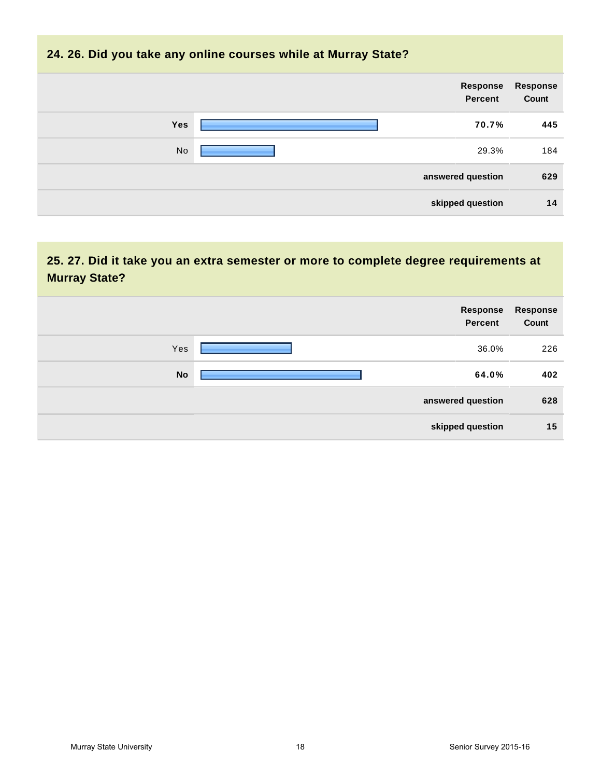#### **24. 26. Did you take any online courses while at Murray State?**

| Response<br>Count | Response<br>Percent |            |
|-------------------|---------------------|------------|
| 445               | 70.7%               | <b>Yes</b> |
| 184               | 29.3%               | No         |
| 629               | answered question   |            |
| 14                | skipped question    |            |

## **25. 27. Did it take you an extra semester or more to complete degree requirements at Murray State?**

| Response<br><b>Percent</b> | Response<br>Count |
|----------------------------|-------------------|
| Yes<br>36.0%               | 226               |
| <b>No</b><br>64.0%         | 402               |
| answered question          | 628               |
| skipped question           | 15                |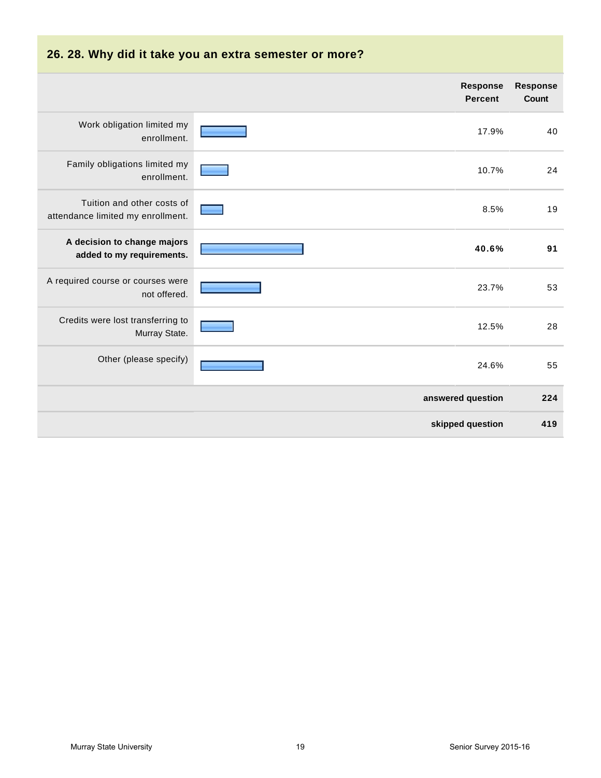| 26. 28. Why did it take you an extra semester or more?          |                                   |                                 |  |  |
|-----------------------------------------------------------------|-----------------------------------|---------------------------------|--|--|
|                                                                 | <b>Response</b><br><b>Percent</b> | <b>Response</b><br><b>Count</b> |  |  |
| Work obligation limited my<br>enrollment.                       | 17.9%                             | 40                              |  |  |
| Family obligations limited my<br>enrollment.                    | 10.7%                             | 24                              |  |  |
| Tuition and other costs of<br>attendance limited my enrollment. | 8.5%                              | 19                              |  |  |
| A decision to change majors<br>added to my requirements.        | 40.6%                             | 91                              |  |  |
| A required course or courses were<br>not offered.               | 23.7%                             | 53                              |  |  |
| Credits were lost transferring to<br>Murray State.              | 12.5%                             | 28                              |  |  |
| Other (please specify)                                          | 24.6%                             | 55                              |  |  |
|                                                                 | answered question                 | 224                             |  |  |
|                                                                 | skipped question                  | 419                             |  |  |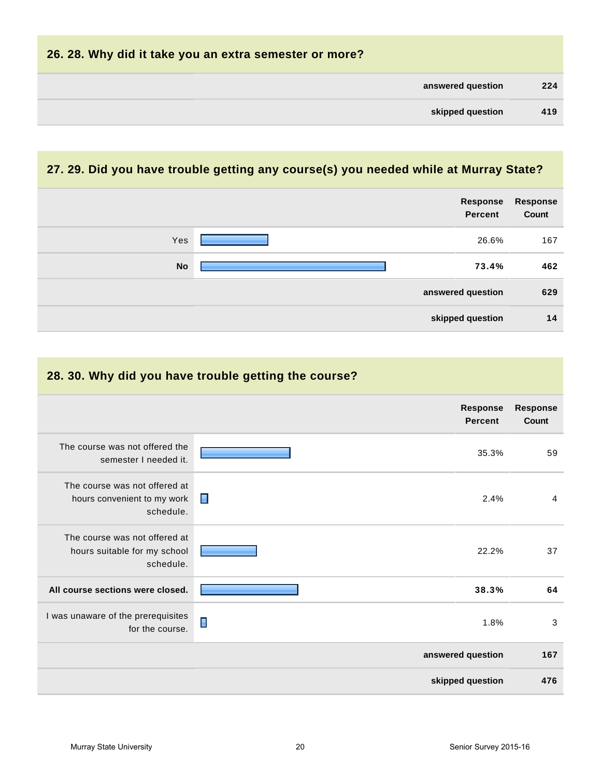| 26. 28. Why did it take you an extra semester or more? |     |  |
|--------------------------------------------------------|-----|--|
| answered question                                      | 224 |  |
| skipped question                                       | 419 |  |
|                                                        |     |  |

## **27. 29. Did you have trouble getting any course(s) you needed while at Murray State?**

|           | Response<br>Percent | <b>Response</b><br>Count |
|-----------|---------------------|--------------------------|
| Yes       | 26.6%               | 167                      |
| <b>No</b> | 73.4%               | 462                      |
|           | answered question   | 629                      |
|           | skipped question    | 14                       |

| 28. 30. Why did you have trouble getting the course?                       |                                   |                          |  |
|----------------------------------------------------------------------------|-----------------------------------|--------------------------|--|
|                                                                            | <b>Response</b><br><b>Percent</b> | <b>Response</b><br>Count |  |
| The course was not offered the<br>semester I needed it.                    | 35.3%                             | 59                       |  |
| The course was not offered at<br>hours convenient to my work<br>schedule.  | П<br>2.4%                         | 4                        |  |
| The course was not offered at<br>hours suitable for my school<br>schedule. | 22.2%                             | 37                       |  |
| All course sections were closed.                                           | 38.3%                             | 64                       |  |
| I was unaware of the prerequisites<br>for the course.                      | Π<br>1.8%                         | 3                        |  |
|                                                                            | answered question                 | 167                      |  |
|                                                                            | skipped question                  | 476                      |  |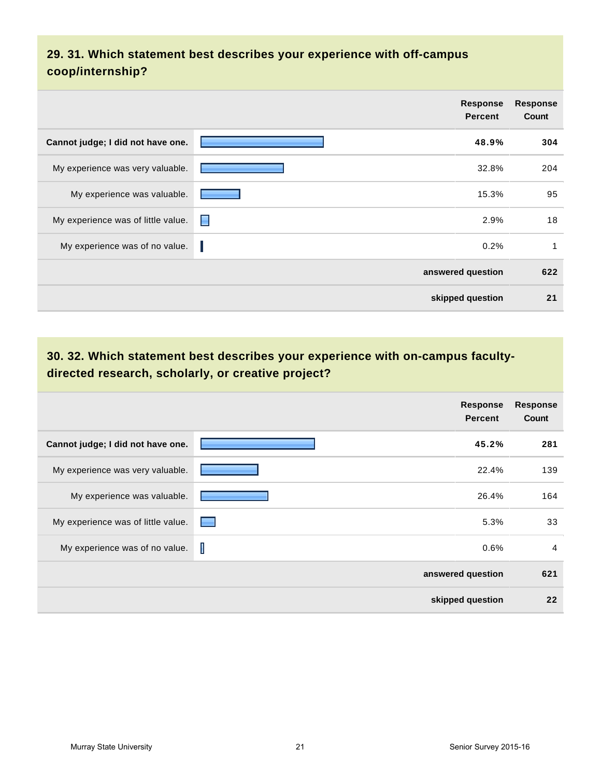## **29. 31. Which statement best describes your experience with off-campus coop/internship?**

|                                    | <b>Response</b><br><b>Percent</b> | <b>Response</b><br>Count |
|------------------------------------|-----------------------------------|--------------------------|
| Cannot judge; I did not have one.  | 48.9%                             | 304                      |
| My experience was very valuable.   | 32.8%                             | 204                      |
| My experience was valuable.        | 15.3%                             | 95                       |
| My experience was of little value. | н<br>2.9%                         | 18                       |
| My experience was of no value.     | 0.2%                              | 1                        |
|                                    | answered question                 | 622                      |
|                                    | skipped question                  | 21                       |

## **30. 32. Which statement best describes your experience with on-campus facultydirected research, scholarly, or creative project?**

|                                    | <b>Response</b><br><b>Percent</b> | <b>Response</b><br>Count |
|------------------------------------|-----------------------------------|--------------------------|
| Cannot judge; I did not have one.  | 45.2%                             | 281                      |
| My experience was very valuable.   | 22.4%                             | 139                      |
| My experience was valuable.        | 26.4%                             | 164                      |
| My experience was of little value. | 5.3%<br>a ser                     | 33                       |
| My experience was of no value.     | I<br>0.6%                         | $\overline{4}$           |
|                                    | answered question                 | 621                      |
|                                    | skipped question                  | 22                       |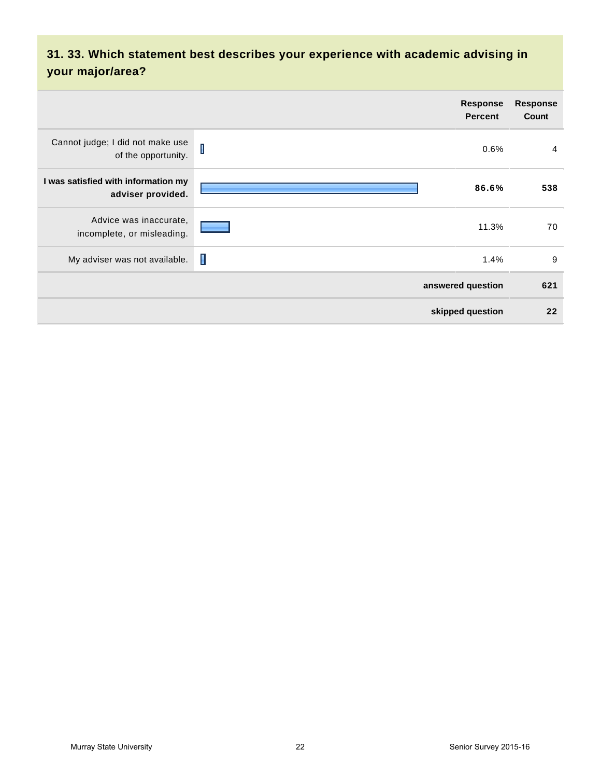## **31. 33. Which statement best describes your experience with academic advising in your major/area?**

|                                                          | <b>Response</b><br><b>Percent</b> | <b>Response</b><br><b>Count</b> |
|----------------------------------------------------------|-----------------------------------|---------------------------------|
| Cannot judge; I did not make use<br>of the opportunity.  | $\mathbf I$<br>0.6%               | $\overline{4}$                  |
| I was satisfied with information my<br>adviser provided. | 86.6%                             | 538                             |
| Advice was inaccurate,<br>incomplete, or misleading.     | 11.3%                             | 70                              |
| My adviser was not available.                            | П<br>1.4%                         | 9                               |
|                                                          | answered question                 | 621                             |
|                                                          | skipped question                  | 22                              |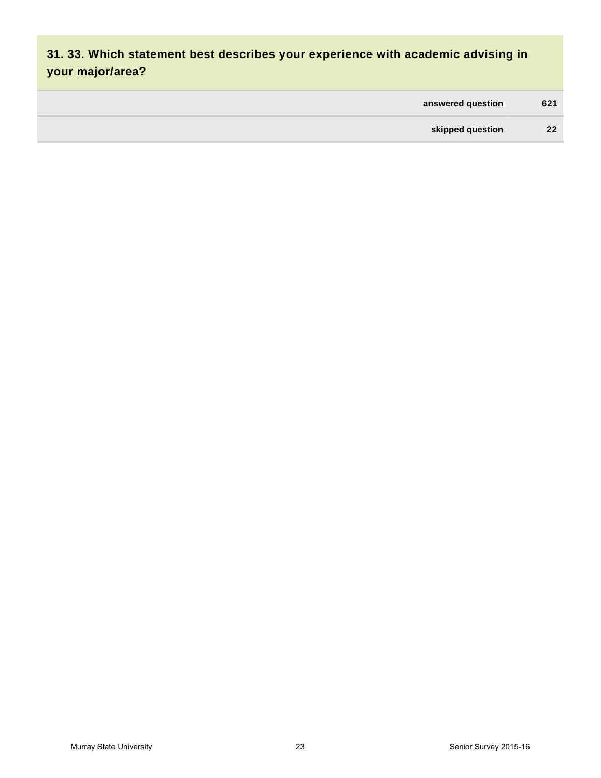## **31. 33. Which statement best describes your experience with academic advising in your major/area?**

| answered question | 621 |
|-------------------|-----|
| skipped question  | 22  |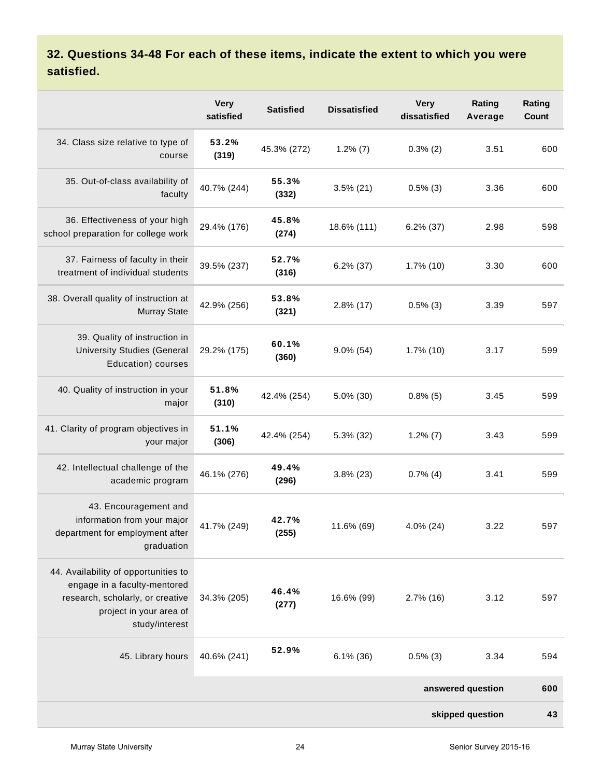## **32. Questions 34-48 For each of these items, indicate the extent to which you were satisfied.**

|                                                                                                                                                       | <b>Very</b><br>satisfied | <b>Satisfied</b> | <b>Dissatisfied</b> | <b>Very</b><br>dissatisfied | Rating<br>Average | Rating<br>Count |
|-------------------------------------------------------------------------------------------------------------------------------------------------------|--------------------------|------------------|---------------------|-----------------------------|-------------------|-----------------|
| 34. Class size relative to type of<br>course                                                                                                          | 53.2%<br>(319)           | 45.3% (272)      | $1.2\%$ (7)         | $0.3\%$ (2)                 | 3.51              | 600             |
| 35. Out-of-class availability of<br>faculty                                                                                                           | 40.7% (244)              | 55.3%<br>(332)   | $3.5\%$ (21)        | $0.5\%$ (3)                 | 3.36              | 600             |
| 36. Effectiveness of your high<br>school preparation for college work                                                                                 | 29.4% (176)              | 45.8%<br>(274)   | 18.6% (111)         | $6.2\%$ (37)                | 2.98              | 598             |
| 37. Fairness of faculty in their<br>treatment of individual students                                                                                  | 39.5% (237)              | 52.7%<br>(316)   | $6.2\%$ (37)        | $1.7\%$ (10)                | 3.30              | 600             |
| 38. Overall quality of instruction at<br><b>Murray State</b>                                                                                          | 42.9% (256)              | 53.8%<br>(321)   | $2.8\%$ (17)        | $0.5\%$ (3)                 | 3.39              | 597             |
| 39. Quality of instruction in<br><b>University Studies (General</b><br>Education) courses                                                             | 29.2% (175)              | 60.1%<br>(360)   | $9.0\%$ (54)        | $1.7\%$ (10)                | 3.17              | 599             |
| 40. Quality of instruction in your<br>major                                                                                                           | 51.8%<br>(310)           | 42.4% (254)      | $5.0\%$ (30)        | $0.8\%$ (5)                 | 3.45              | 599             |
| 41. Clarity of program objectives in<br>your major                                                                                                    | 51.1%<br>(306)           | 42.4% (254)      | 5.3% (32)           | $1.2\%$ (7)                 | 3.43              | 599             |
| 42. Intellectual challenge of the<br>academic program                                                                                                 | 46.1% (276)              | 49.4%<br>(296)   | $3.8\%$ (23)        | $0.7\%$ (4)                 | 3.41              | 599             |
| 43. Encouragement and<br>information from your major<br>department for employment after<br>graduation                                                 | 41.7% (249)              | 42.7%<br>(255)   | 11.6% (69)          | 4.0% (24)                   | 3.22              | 597             |
| 44. Availability of opportunities to<br>engage in a faculty-mentored<br>research, scholarly, or creative<br>project in your area of<br>study/interest | 34.3% (205)              | 46.4%<br>(277)   | 16.6% (99)          | $2.7\%$ (16)                | 3.12              | 597             |
| 45. Library hours                                                                                                                                     | 40.6% (241)              | 52.9%            | $6.1\%$ (36)        | $0.5\%$ (3)                 | 3.34              | 594             |
|                                                                                                                                                       |                          |                  |                     |                             | answered question | 600             |
|                                                                                                                                                       |                          |                  |                     |                             | skipped question  | 43              |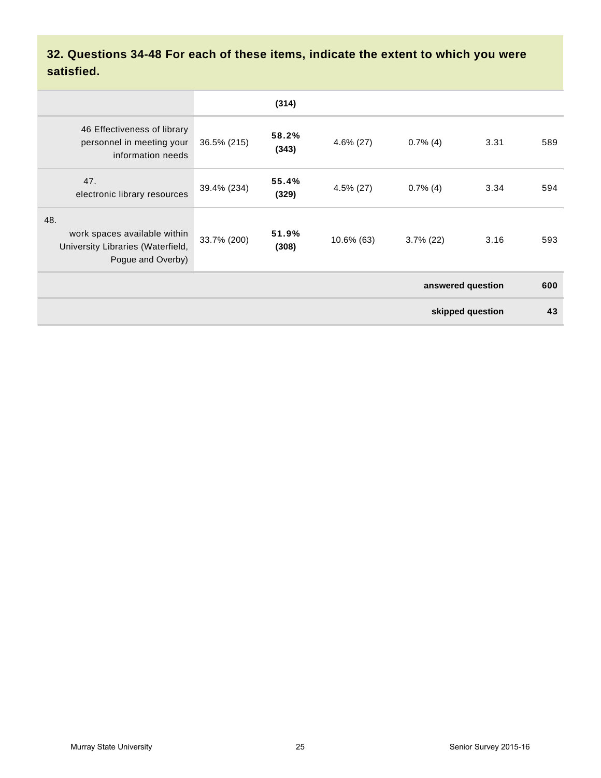## **32. Questions 34-48 For each of these items, indicate the extent to which you were satisfied.**

|                                                                                               |             | (314)          |              |              |      |     |
|-----------------------------------------------------------------------------------------------|-------------|----------------|--------------|--------------|------|-----|
| 46 Effectiveness of library<br>personnel in meeting your<br>information needs                 | 36.5% (215) | 58.2%<br>(343) | $4.6\%$ (27) | $0.7\%$ (4)  | 3.31 | 589 |
| 47.<br>electronic library resources                                                           | 39.4% (234) | 55.4%<br>(329) | $4.5\%$ (27) | $0.7\%$ (4)  | 3.34 | 594 |
| 48.<br>work spaces available within<br>University Libraries (Waterfield,<br>Pogue and Overby) | 33.7% (200) | 51.9%<br>(308) | 10.6% (63)   | $3.7\%$ (22) | 3.16 | 593 |
| answered question                                                                             |             |                |              |              |      | 600 |
| skipped question                                                                              |             |                |              |              |      | 43  |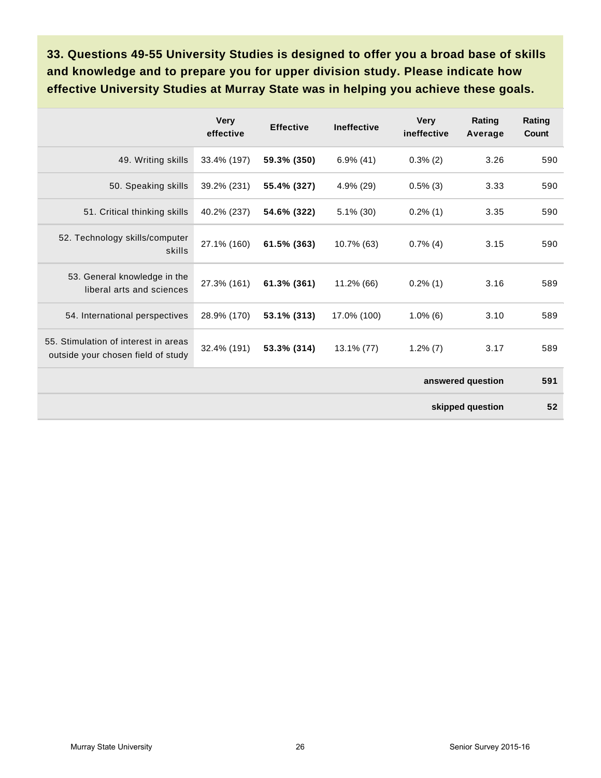**33. Questions 49-55 University Studies is designed to offer you a broad base of skills and knowledge and to prepare you for upper division study. Please indicate how effective University Studies at Murray State was in helping you achieve these goals.**

|                                                                            | <b>Very</b><br>effective | <b>Effective</b> | <b>Ineffective</b> | <b>Very</b><br>ineffective | Rating<br>Average | Rating<br>Count |  |  |
|----------------------------------------------------------------------------|--------------------------|------------------|--------------------|----------------------------|-------------------|-----------------|--|--|
| 49. Writing skills                                                         | 33.4% (197)              | 59.3% (350)      | $6.9\%$ (41)       | $0.3\%$ (2)                | 3.26              | 590             |  |  |
| 50. Speaking skills                                                        | 39.2% (231)              | 55.4% (327)      | 4.9% (29)          | $0.5\%$ (3)                | 3.33              | 590             |  |  |
| 51. Critical thinking skills                                               | 40.2% (237)              | 54.6% (322)      | $5.1\%$ (30)       | $0.2\%$ (1)                | 3.35              | 590             |  |  |
| 52. Technology skills/computer<br>skills                                   | 27.1% (160)              | 61.5% (363)      | 10.7% (63)         | $0.7\%$ (4)                | 3.15              | 590             |  |  |
| 53. General knowledge in the<br>liberal arts and sciences                  | 27.3% (161)              | 61.3% (361)      | 11.2% (66)         | $0.2\%$ (1)                | 3.16              | 589             |  |  |
| 54. International perspectives                                             | 28.9% (170)              | 53.1% (313)      | 17.0% (100)        | $1.0\%$ (6)                | 3.10              | 589             |  |  |
| 55. Stimulation of interest in areas<br>outside your chosen field of study | 32.4% (191)              | 53.3% (314)      | 13.1% (77)         | $1.2\%$ (7)                | 3.17              | 589             |  |  |
|                                                                            |                          |                  |                    | answered question          |                   |                 |  |  |
|                                                                            |                          |                  |                    |                            | skipped question  | 52              |  |  |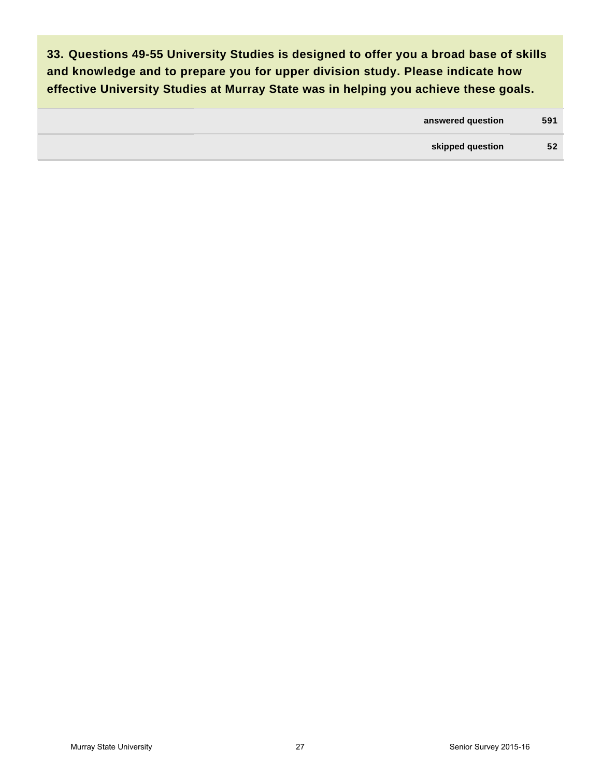**33. Questions 49-55 University Studies is designed to offer you a broad base of skills and knowledge and to prepare you for upper division study. Please indicate how effective University Studies at Murray State was in helping you achieve these goals.**

| answered question | 591 |
|-------------------|-----|
| skipped question  | 52  |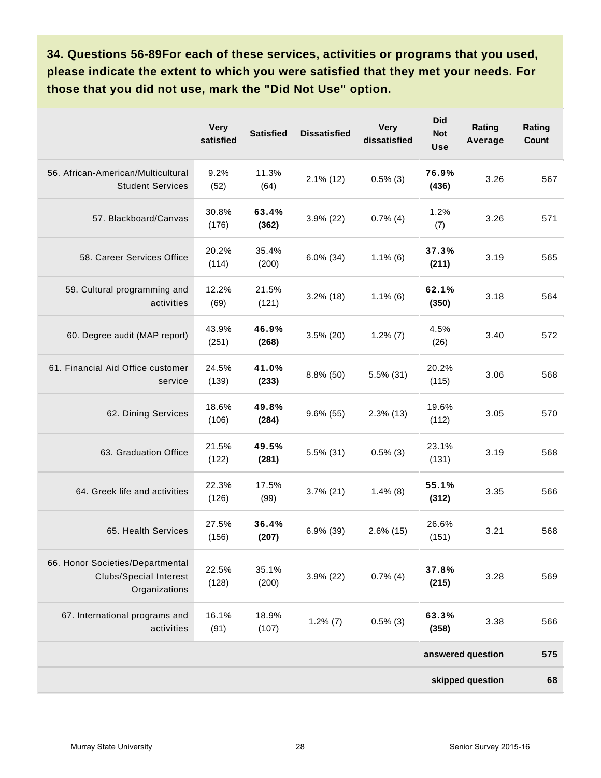**34. Questions 56-89For each of these services, activities or programs that you used, please indicate the extent to which you were satisfied that they met your needs. For those that you did not use, mark the "Did Not Use" option.**

|                                                                                    | <b>Very</b><br>satisfied | <b>Satisfied</b> | <b>Dissatisfied</b> | <b>Very</b><br>dissatisfied | <b>Did</b><br><b>Not</b><br><b>Use</b> | Rating<br>Average | Rating<br>Count |  |  |
|------------------------------------------------------------------------------------|--------------------------|------------------|---------------------|-----------------------------|----------------------------------------|-------------------|-----------------|--|--|
| 56. African-American/Multicultural<br><b>Student Services</b>                      | 9.2%<br>(52)             | 11.3%<br>(64)    | $2.1\%$ (12)        | $0.5\%$ (3)                 | 76.9%<br>(436)                         | 3.26              | 567             |  |  |
| 57. Blackboard/Canvas                                                              | 30.8%<br>(176)           | 63.4%<br>(362)   | $3.9\%$ (22)        | $0.7\%$ (4)                 | 1.2%<br>(7)                            | 3.26              | 571             |  |  |
| 58. Career Services Office                                                         | 20.2%<br>(114)           | 35.4%<br>(200)   | $6.0\%$ (34)        | $1.1\%$ (6)                 | 37.3%<br>(211)                         | 3.19              | 565             |  |  |
| 59. Cultural programming and<br>activities                                         | 12.2%<br>(69)            | 21.5%<br>(121)   | $3.2\%$ (18)        | $1.1\%$ (6)                 | 62.1%<br>(350)                         | 3.18              | 564             |  |  |
| 60. Degree audit (MAP report)                                                      | 43.9%<br>(251)           | 46.9%<br>(268)   | $3.5\%$ (20)        | $1.2\%$ (7)                 | 4.5%<br>(26)                           | 3.40              | 572             |  |  |
| 61. Financial Aid Office customer<br>service                                       | 24.5%<br>(139)           | 41.0%<br>(233)   | $8.8\%$ (50)        | 5.5% (31)                   | 20.2%<br>(115)                         | 3.06              | 568             |  |  |
| 62. Dining Services                                                                | 18.6%<br>(106)           | 49.8%<br>(284)   | $9.6\%$ (55)        | $2.3\%$ (13)                | 19.6%<br>(112)                         | 3.05              | 570             |  |  |
| 63. Graduation Office                                                              | 21.5%<br>(122)           | 49.5%<br>(281)   | $5.5\%$ (31)        | $0.5\%$ (3)                 | 23.1%<br>(131)                         | 3.19              | 568             |  |  |
| 64. Greek life and activities                                                      | 22.3%<br>(126)           | 17.5%<br>(99)    | $3.7\%$ (21)        | $1.4\%$ (8)                 | 55.1%<br>(312)                         | 3.35              | 566             |  |  |
| 65. Health Services                                                                | 27.5%<br>(156)           | 36.4%<br>(207)   | $6.9\%$ (39)        | $2.6\%$ (15)                | 26.6%<br>(151)                         | 3.21              | 568             |  |  |
| 66. Honor Societies/Departmental<br><b>Clubs/Special Interest</b><br>Organizations | 22.5%<br>(128)           | 35.1%<br>(200)   | $3.9\%$ (22)        | $0.7\%$ (4)                 | 37.8%<br>(215)                         | 3.28              | 569             |  |  |
| 67. International programs and<br>activities                                       | 16.1%<br>(91)            | 18.9%<br>(107)   | $1.2\%$ $(7)$       | $0.5\%$ (3)                 | 63.3%<br>(358)                         | 3.38              | 566             |  |  |
|                                                                                    |                          |                  |                     |                             |                                        | answered question | 575             |  |  |
| skipped question                                                                   |                          |                  |                     |                             |                                        |                   |                 |  |  |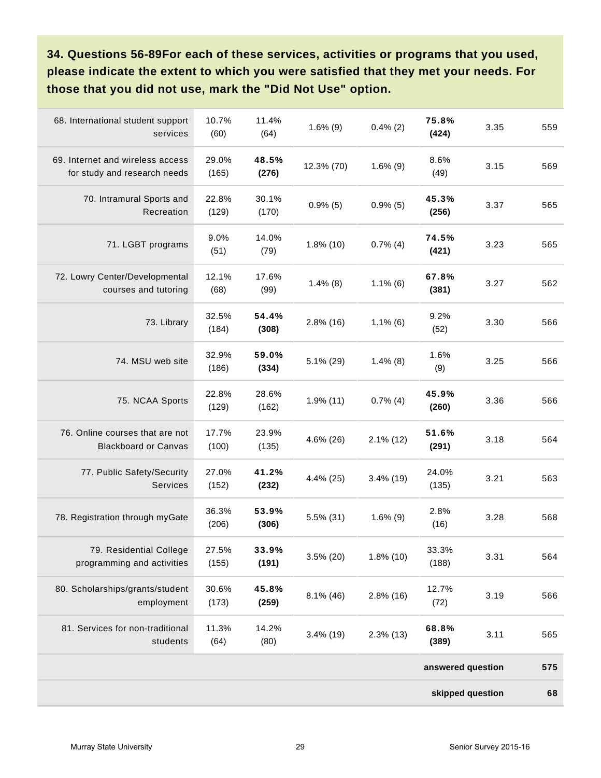**34. Questions 56-89For each of these services, activities or programs that you used, please indicate the extent to which you were satisfied that they met your needs. For those that you did not use, mark the "Did Not Use" option.**

| 68. International student support<br>services                    | 10.7%<br>(60)  | 11.4%<br>(64)  | $1.6\%$ (9)  | $0.4\%$ (2)  | 75.8%<br>(424)    | 3.35 | 559 |
|------------------------------------------------------------------|----------------|----------------|--------------|--------------|-------------------|------|-----|
| 69. Internet and wireless access<br>for study and research needs | 29.0%<br>(165) | 48.5%<br>(276) | 12.3% (70)   | $1.6\%$ (9)  | 8.6%<br>(49)      | 3.15 | 569 |
| 70. Intramural Sports and<br>Recreation                          | 22.8%<br>(129) | 30.1%<br>(170) | $0.9\%$ (5)  | $0.9\%$ (5)  | 45.3%<br>(256)    | 3.37 | 565 |
| 71. LGBT programs                                                | 9.0%<br>(51)   | 14.0%<br>(79)  | $1.8\%$ (10) | $0.7\%$ (4)  | 74.5%<br>(421)    | 3.23 | 565 |
| 72. Lowry Center/Developmental<br>courses and tutoring           | 12.1%<br>(68)  | 17.6%<br>(99)  | $1.4\%$ (8)  | $1.1\%$ (6)  | 67.8%<br>(381)    | 3.27 | 562 |
| 73. Library                                                      | 32.5%<br>(184) | 54.4%<br>(308) | $2.8\%$ (16) | $1.1\%$ (6)  | 9.2%<br>(52)      | 3.30 | 566 |
| 74. MSU web site                                                 | 32.9%<br>(186) | 59.0%<br>(334) | $5.1\%$ (29) | $1.4\%$ (8)  | 1.6%<br>(9)       | 3.25 | 566 |
| 75. NCAA Sports                                                  | 22.8%<br>(129) | 28.6%<br>(162) | $1.9%$ (11)  | $0.7\%$ (4)  | 45.9%<br>(260)    | 3.36 | 566 |
| 76. Online courses that are not<br><b>Blackboard or Canvas</b>   | 17.7%<br>(100) | 23.9%<br>(135) | 4.6% (26)    | $2.1\%$ (12) | 51.6%<br>(291)    | 3.18 | 564 |
| 77. Public Safety/Security<br><b>Services</b>                    | 27.0%<br>(152) | 41.2%<br>(232) | 4.4% (25)    | $3.4\%$ (19) | 24.0%<br>(135)    | 3.21 | 563 |
| 78. Registration through myGate                                  | 36.3%<br>(206) | 53.9%<br>(306) | $5.5\%$ (31) | $1.6\%$ (9)  | 2.8%<br>(16)      | 3.28 | 568 |
| 79. Residential College<br>programming and activities            | 27.5%<br>(155) | 33.9%<br>(191) | $3.5\%$ (20) | 1.8% (10)    | 33.3%<br>(188)    | 3.31 | 564 |
| 80. Scholarships/grants/student<br>employment                    | 30.6%<br>(173) | 45.8%<br>(259) | $8.1\%$ (46) | $2.8\%$ (16) | 12.7%<br>(72)     | 3.19 | 566 |
| 81. Services for non-traditional<br>students                     | 11.3%<br>(64)  | 14.2%<br>(80)  | $3.4\%$ (19) | $2.3\%$ (13) | 68.8%<br>(389)    | 3.11 | 565 |
|                                                                  |                |                |              |              | answered question |      | 575 |
|                                                                  |                |                |              |              | skipped question  |      | 68  |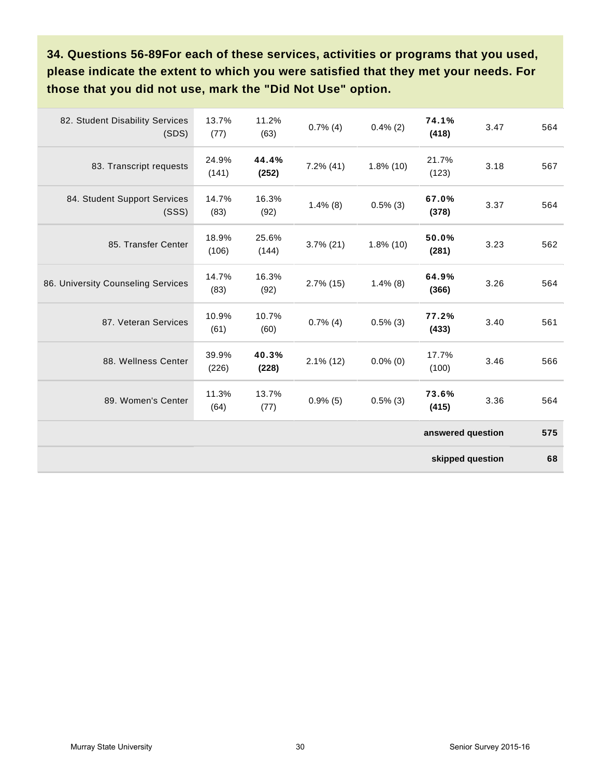**34. Questions 56-89For each of these services, activities or programs that you used, please indicate the extent to which you were satisfied that they met your needs. For those that you did not use, mark the "Did Not Use" option.**

| 82. Student Disability Services<br>(SDS) | 13.7%<br>(77)  | 11.2%<br>(63)  | $0.7\%$ (4)  | $0.4\%$ (2)  | 74.1%<br>(418)    | 3.47 | 564 |  |
|------------------------------------------|----------------|----------------|--------------|--------------|-------------------|------|-----|--|
| 83. Transcript requests                  | 24.9%<br>(141) | 44.4%<br>(252) | $7.2\%$ (41) | $1.8\%$ (10) | 21.7%<br>(123)    | 3.18 | 567 |  |
| 84. Student Support Services<br>(SSS)    | 14.7%<br>(83)  | 16.3%<br>(92)  | $1.4\%$ (8)  | $0.5\%$ (3)  | 67.0%<br>(378)    | 3.37 | 564 |  |
| 85. Transfer Center                      | 18.9%<br>(106) | 25.6%<br>(144) | $3.7\%$ (21) | $1.8\%$ (10) | 50.0%<br>(281)    | 3.23 | 562 |  |
| 86. University Counseling Services       | 14.7%<br>(83)  | 16.3%<br>(92)  | $2.7\%$ (15) | $1.4\%$ (8)  | 64.9%<br>(366)    | 3.26 | 564 |  |
| 87. Veteran Services                     | 10.9%<br>(61)  | 10.7%<br>(60)  | $0.7\%$ (4)  | $0.5\%$ (3)  | 77.2%<br>(433)    | 3.40 | 561 |  |
| 88. Wellness Center                      | 39.9%<br>(226) | 40.3%<br>(228) | $2.1\%$ (12) | $0.0\%$ (0)  | 17.7%<br>(100)    | 3.46 | 566 |  |
| 89. Women's Center                       | 11.3%<br>(64)  | 13.7%<br>(77)  | $0.9\%$ (5)  | $0.5\%$ (3)  | 73.6%<br>(415)    | 3.36 | 564 |  |
|                                          |                |                |              |              | answered question |      | 575 |  |
| skipped question                         |                |                |              |              |                   |      |     |  |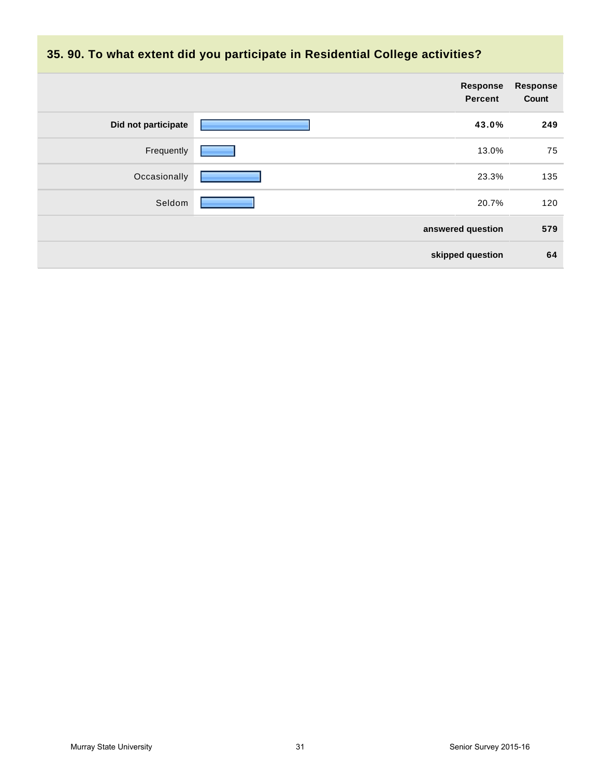

|                     | Response<br><b>Percent</b> | <b>Response</b><br>Count |
|---------------------|----------------------------|--------------------------|
| Did not participate | 43.0%                      | 249                      |
| Frequently          | 13.0%                      | 75                       |
| Occasionally        | 23.3%                      | 135                      |
| Seldom              | 20.7%                      | 120                      |
|                     | answered question          | 579                      |
|                     | skipped question           | 64                       |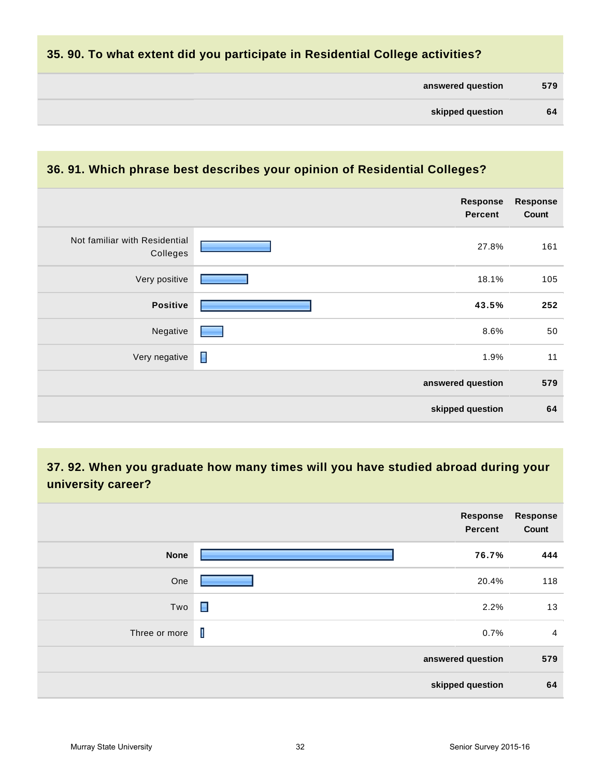## **35. 90. To what extent did you participate in Residential College activities?**

| 579 | answered question |  |
|-----|-------------------|--|
| 64  | skipped question  |  |
|     |                   |  |

## **36. 91. Which phrase best describes your opinion of Residential Colleges?**

|                                           | Response<br><b>Percent</b> | <b>Response</b><br>Count |
|-------------------------------------------|----------------------------|--------------------------|
| Not familiar with Residential<br>Colleges | 27.8%                      | 161                      |
| Very positive                             | 18.1%                      | 105                      |
| <b>Positive</b>                           | 43.5%                      | 252                      |
| Negative                                  | 8.6%                       | 50                       |
| Very negative                             | П<br>1.9%                  | 11                       |
|                                           | answered question          | 579                      |
|                                           | skipped question           | 64                       |

## **37. 92. When you graduate how many times will you have studied abroad during your university career?**

|               | Response<br><b>Percent</b> | <b>Response</b><br>Count |
|---------------|----------------------------|--------------------------|
| <b>None</b>   | 76.7%                      | 444                      |
| One           | 20.4%                      | 118                      |
| Two           | $\blacksquare$<br>2.2%     | 13                       |
| Three or more | $\mathbf{I}$<br>0.7%       | $\overline{4}$           |
|               | answered question          | 579                      |
|               | skipped question           | 64                       |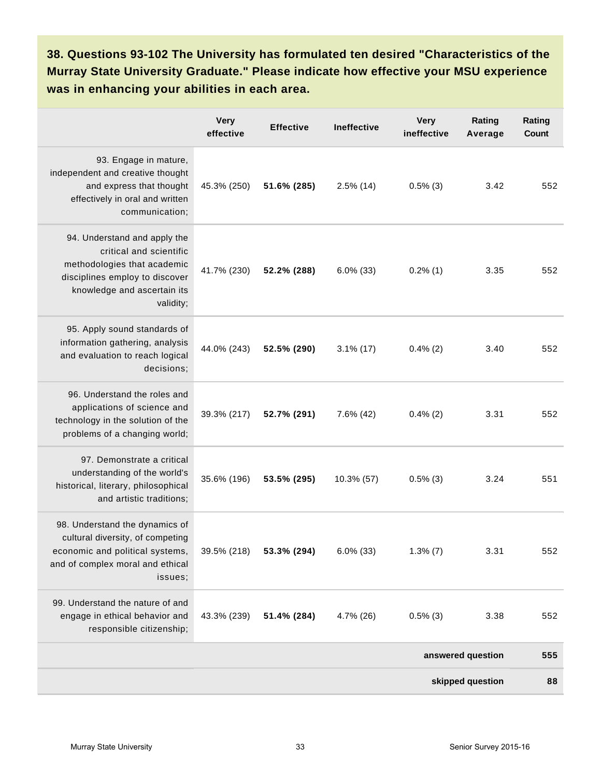**38. Questions 93-102 The University has formulated ten desired "Characteristics of the Murray State University Graduate." Please indicate how effective your MSU experience was in enhancing your abilities in each area.**

|                                                                                                                                                                      | <b>Very</b><br>effective | <b>Effective</b> | <b>Ineffective</b> | <b>Very</b><br>ineffective | Rating<br>Average | Rating<br>Count |  |
|----------------------------------------------------------------------------------------------------------------------------------------------------------------------|--------------------------|------------------|--------------------|----------------------------|-------------------|-----------------|--|
| 93. Engage in mature,<br>independent and creative thought<br>and express that thought<br>effectively in oral and written<br>communication;                           | 45.3% (250)              | 51.6% (285)      | $2.5\%$ (14)       | $0.5\%$ (3)                | 3.42              | 552             |  |
| 94. Understand and apply the<br>critical and scientific<br>methodologies that academic<br>disciplines employ to discover<br>knowledge and ascertain its<br>validity; | 41.7% (230)              | 52.2% (288)      | $6.0\%$ (33)       | $0.2\%$ (1)                | 3.35              | 552             |  |
| 95. Apply sound standards of<br>information gathering, analysis<br>and evaluation to reach logical<br>decisions;                                                     | 44.0% (243)              | 52.5% (290)      | $3.1\%$ (17)       | $0.4\%$ (2)                | 3.40              | 552             |  |
| 96. Understand the roles and<br>applications of science and<br>technology in the solution of the<br>problems of a changing world;                                    | 39.3% (217)              | 52.7% (291)      | $7.6\%$ (42)       | $0.4\%$ (2)                | 3.31              | 552             |  |
| 97. Demonstrate a critical<br>understanding of the world's<br>historical, literary, philosophical<br>and artistic traditions;                                        | 35.6% (196)              | 53.5% (295)      | 10.3% (57)         | $0.5\%$ (3)                | 3.24              | 551             |  |
| 98. Understand the dynamics of<br>cultural diversity, of competing<br>economic and political systems,<br>and of complex moral and ethical<br>issues;                 | 39.5% (218)              | 53.3% (294)      | $6.0\%$ (33)       | $1.3\%$ (7)                | 3.31              | 552             |  |
| 99. Understand the nature of and<br>engage in ethical behavior and<br>responsible citizenship;                                                                       | 43.3% (239)              | 51.4% (284)      | 4.7% (26)          | $0.5\%$ (3)                | 3.38              | 552             |  |
|                                                                                                                                                                      |                          |                  |                    |                            | answered question | 555             |  |
| skipped question                                                                                                                                                     |                          |                  |                    |                            |                   |                 |  |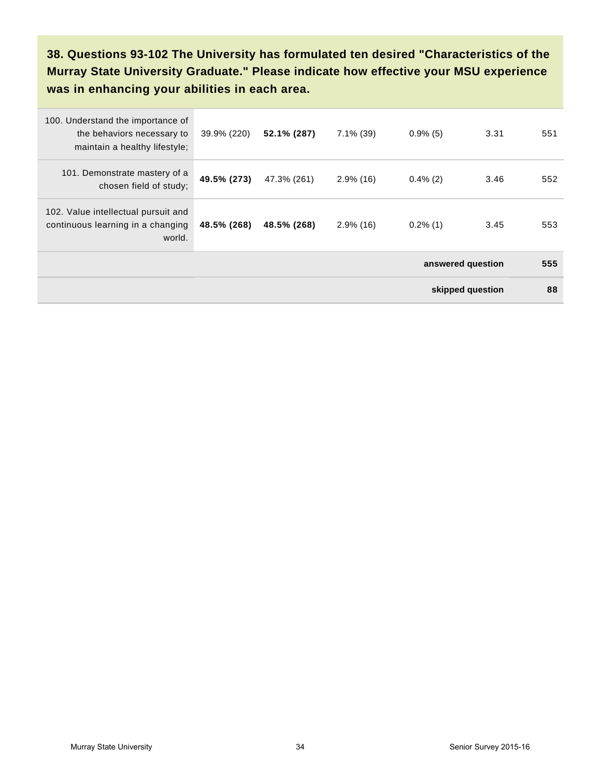**38. Questions 93-102 The University has formulated ten desired "Characteristics of the Murray State University Graduate." Please indicate how effective your MSU experience was in enhancing your abilities in each area.**

| 100. Understand the importance of<br>the behaviors necessary to<br>maintain a healthy lifestyle; | 39.9% (220) | 52.1% (287) | $7.1\%$ (39) | $0.9\%$ (5)       | 3.31 | 551 |  |
|--------------------------------------------------------------------------------------------------|-------------|-------------|--------------|-------------------|------|-----|--|
| 101. Demonstrate mastery of a<br>chosen field of study;                                          | 49.5% (273) | 47.3% (261) | $2.9\%$ (16) | $0.4\%$ (2)       | 3.46 | 552 |  |
| 102. Value intellectual pursuit and<br>continuous learning in a changing<br>world.               | 48.5% (268) | 48.5% (268) | $2.9\%$ (16) | $0.2\%$ (1)       | 3.45 | 553 |  |
|                                                                                                  |             |             |              | answered question |      |     |  |
| skipped question                                                                                 |             |             |              |                   |      | 88  |  |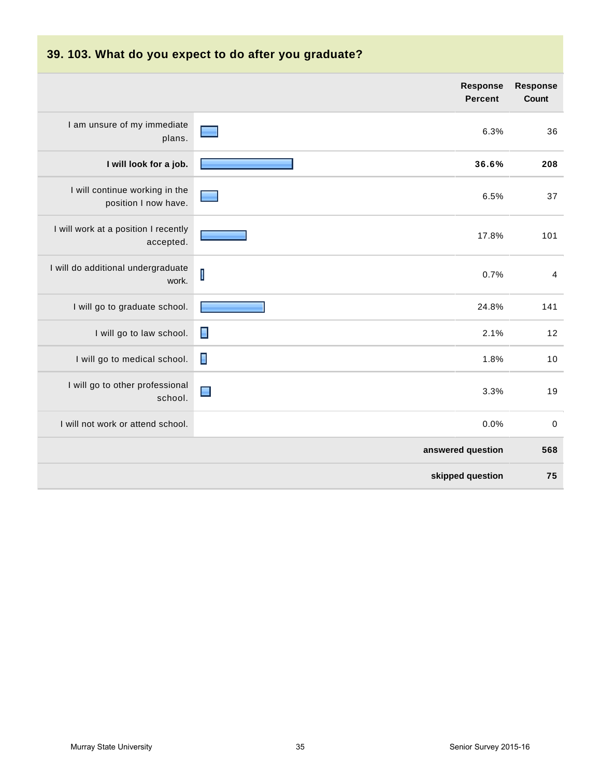| 39. 103. What do you expect to do after you graduate?  |                                   |                                 |  |
|--------------------------------------------------------|-----------------------------------|---------------------------------|--|
|                                                        | <b>Response</b><br><b>Percent</b> | <b>Response</b><br><b>Count</b> |  |
| I am unsure of my immediate<br>plans.                  | 6.3%                              | 36                              |  |
| I will look for a job.                                 | 36.6%                             | 208                             |  |
| I will continue working in the<br>position I now have. | 6.5%                              | 37                              |  |
| I will work at a position I recently<br>accepted.      | 17.8%                             | 101                             |  |
| I will do additional undergraduate<br>work.            | $\mathbf I$<br>0.7%               | 4                               |  |
| I will go to graduate school.                          | 24.8%                             | 141                             |  |
| I will go to law school.                               | $\blacksquare$<br>2.1%            | 12                              |  |
| I will go to medical school.                           | П<br>1.8%                         | 10                              |  |
| I will go to other professional<br>school.             | $\blacksquare$<br>3.3%            | 19                              |  |
| I will not work or attend school.                      | 0.0%                              | $\mathbf 0$                     |  |
|                                                        | answered question                 | 568                             |  |
|                                                        | skipped question                  | 75                              |  |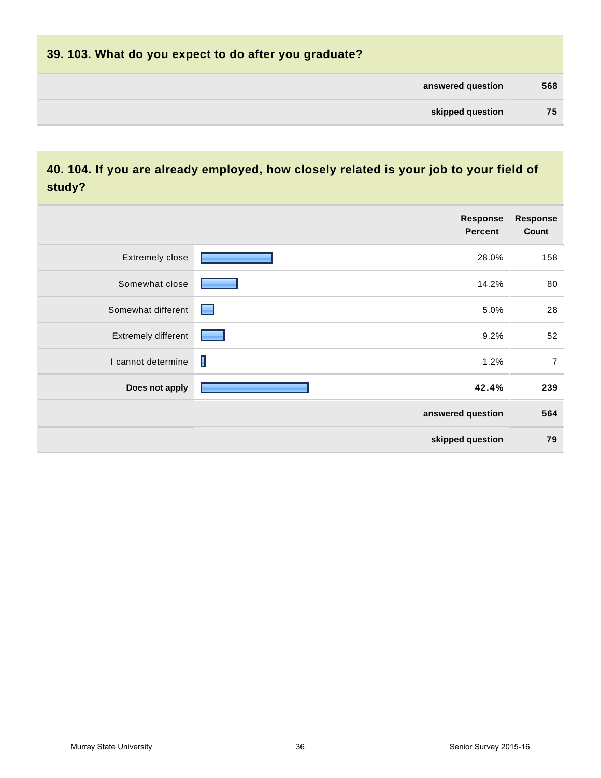| 39. 103. What do you expect to do after you graduate? |     |
|-------------------------------------------------------|-----|
| answered question                                     | 568 |
| skipped question                                      | 75  |
|                                                       |     |

## **40. 104. If you are already employed, how closely related is your job to your field of study?**

|                     | Response<br><b>Percent</b> | <b>Response</b><br>Count |
|---------------------|----------------------------|--------------------------|
| Extremely close     | 28.0%                      | 158                      |
| Somewhat close      | 14.2%                      | 80                       |
| Somewhat different  | 5.0%<br>e                  | 28                       |
| Extremely different | 9.2%                       | 52                       |
| I cannot determine  | I<br>1.2%                  | $\overline{7}$           |
| Does not apply      | 42.4%                      | 239                      |
| answered question   |                            | 564                      |
|                     | skipped question           | 79                       |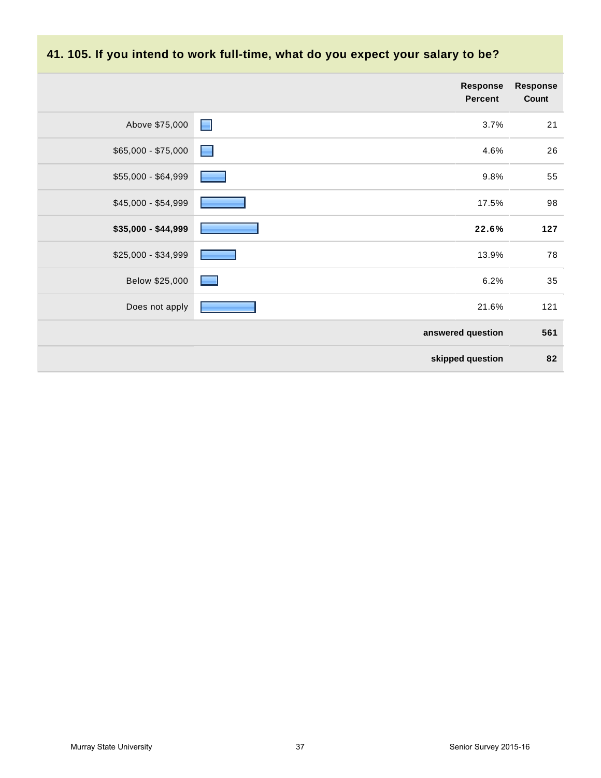## **41. 105. If you intend to work full-time, what do you expect your salary to be?**

|                     |                  | Response<br><b>Percent</b> | <b>Response</b><br>Count |
|---------------------|------------------|----------------------------|--------------------------|
| Above \$75,000      | $\blacksquare$   | 3.7%                       | 21                       |
| \$65,000 - \$75,000 | <b>September</b> | 4.6%                       | 26                       |
| \$55,000 - \$64,999 |                  | 9.8%                       | 55                       |
| \$45,000 - \$54,999 |                  | 17.5%                      | 98                       |
| \$35,000 - \$44,999 |                  | 22.6%                      | 127                      |
| \$25,000 - \$34,999 |                  | 13.9%                      | 78                       |
| Below \$25,000      |                  | 6.2%                       | 35                       |
| Does not apply      |                  | 21.6%                      | 121                      |
|                     |                  | answered question          | 561                      |
|                     |                  | skipped question           | 82                       |